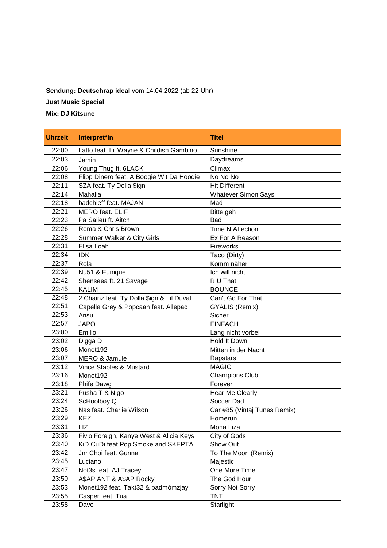## **Sendung: Deutschrap ideal** vom 14.04.2022 (ab 22 Uhr)

**Just Music Special**

**Mix: DJ Kitsune**

| <b>Uhrzeit</b> | Interpret*in                              | <b>Titel</b>                 |
|----------------|-------------------------------------------|------------------------------|
| 22:00          | Latto feat. Lil Wayne & Childish Gambino  | Sunshine                     |
| 22:03          | Jamin                                     | Daydreams                    |
| 22:06          | Young Thug ft. 6LACK                      | Climax                       |
| 22:08          | Flipp Dinero feat. A Boogie Wit Da Hoodie | $\overline{N}$ o No No       |
| 22:11          | SZA feat. Ty Dolla \$ign                  | <b>Hit Different</b>         |
| 22:14          | Mahalia                                   | <b>Whatever Simon Says</b>   |
| 22:18          | badchieff feat. MAJAN                     | Mad                          |
| 22:21          | <b>MERO</b> feat. ELIF                    | Bitte geh                    |
| 22:23          | Pa Salieu ft. Aitch                       | Bad                          |
| 22:26          | Rema & Chris Brown                        | Time N Affection             |
| 22:28          | Summer Walker & City Girls                | Ex For A Reason              |
| 22:31          | Elisa Loah                                | <b>Fireworks</b>             |
| 22:34          | <b>IDK</b>                                | Taco (Dirty)                 |
| 22:37          | Rola                                      | Komm näher                   |
| 22:39          | Nu51 & Eunique                            | Ich will nicht               |
| 22:42          | Shenseea ft. 21 Savage                    | R U That                     |
| 22:45          | <b>KALIM</b>                              | <b>BOUNCE</b>                |
| 22:48          | 2 Chainz feat. Ty Dolla \$ign & Lil Duval | Can't Go For That            |
| 22:51          | Capella Grey & Popcaan feat. Allepac      | <b>GYALIS (Remix)</b>        |
| 22:53          | Ansu                                      | Sicher                       |
| 22:57          | <b>JAPO</b>                               | <b>EINFACH</b>               |
| 23:00          | Emilio                                    | Lang nicht vorbei            |
| 23:02          | Digga D                                   | Hold It Down                 |
| 23:06          | Monet192                                  | Mitten in der Nacht          |
| 23:07          | <b>MERO &amp; Jamule</b>                  | Rapstars                     |
| 23:12          | Vince Staples & Mustard                   | <b>MAGIC</b>                 |
| 23:16          | Monet192                                  | <b>Champions Club</b>        |
| 23:18          | Phife Dawg                                | Forever                      |
| 23:21          | Pusha T & Nigo                            | Hear Me Clearly              |
| 23:24          | ScHoolboy Q                               | Soccer Dad                   |
| 23:26          | Nas feat. Charlie Wilson                  | Car #85 (Vintaj Tunes Remix) |
| 23:29          | KEZ                                       | Homerun                      |
| 23:31          | LIZ                                       | Mona Liza                    |
| 23:36          | Fivio Foreign, Kanye West & Alicia Keys   | City of Gods                 |
| 23:40          | KiD CuDi feat Pop Smoke and SKEPTA        | Show Out                     |
| 23:42          | Jnr Choi feat. Gunna                      | To The Moon (Remix)          |
| 23:45          | Luciano                                   | Majestic                     |
| 23:47          | Not3s feat. AJ Tracey                     | One More Time                |
| 23:50          | A\$AP ANT & A\$AP Rocky                   | The God Hour                 |
| 23:53          | Monet192 feat. Takt32 & badmómzjay        | Sorry Not Sorry              |
| 23:55          | Casper feat. Tua                          | <b>TNT</b>                   |
| 23:58          | Dave                                      | Starlight                    |